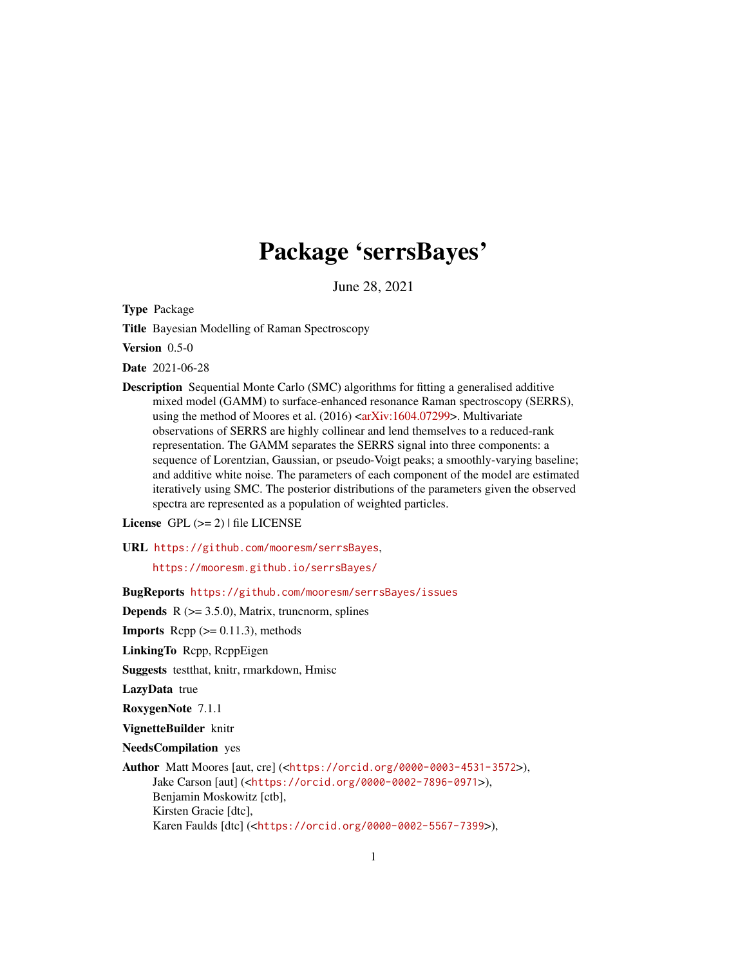# Package 'serrsBayes'

June 28, 2021

<span id="page-0-0"></span>Type Package

Title Bayesian Modelling of Raman Spectroscopy

Version 0.5-0

Date 2021-06-28

Description Sequential Monte Carlo (SMC) algorithms for fitting a generalised additive mixed model (GAMM) to surface-enhanced resonance Raman spectroscopy (SERRS), using the method of Moores et al. (2016) [<arXiv:1604.07299>](https://arxiv.org/abs/1604.07299). Multivariate observations of SERRS are highly collinear and lend themselves to a reduced-rank representation. The GAMM separates the SERRS signal into three components: a sequence of Lorentzian, Gaussian, or pseudo-Voigt peaks; a smoothly-varying baseline; and additive white noise. The parameters of each component of the model are estimated iteratively using SMC. The posterior distributions of the parameters given the observed spectra are represented as a population of weighted particles.

License  $GPL (= 2)$  | file LICENSE

#### URL <https://github.com/mooresm/serrsBayes>,

<https://mooresm.github.io/serrsBayes/>

BugReports <https://github.com/mooresm/serrsBayes/issues>

**Depends**  $R$  ( $>= 3.5.0$ ), Matrix, truncnorm, splines

**Imports** Rcpp  $(>= 0.11.3)$ , methods

LinkingTo Rcpp, RcppEigen

Suggests testthat, knitr, rmarkdown, Hmisc

LazyData true

RoxygenNote 7.1.1

VignetteBuilder knitr

NeedsCompilation yes

```
Author Matt Moores [aut, cre] (<https://orcid.org/0000-0003-4531-3572>),
     Jake Carson [aut] (<https://orcid.org/0000-0002-7896-0971>),
     Benjamin Moskowitz [ctb],
     Kirsten Gracie [dtc],
     Karen Faulds [dtc] (<https://orcid.org/0000-0002-5567-7399>),
```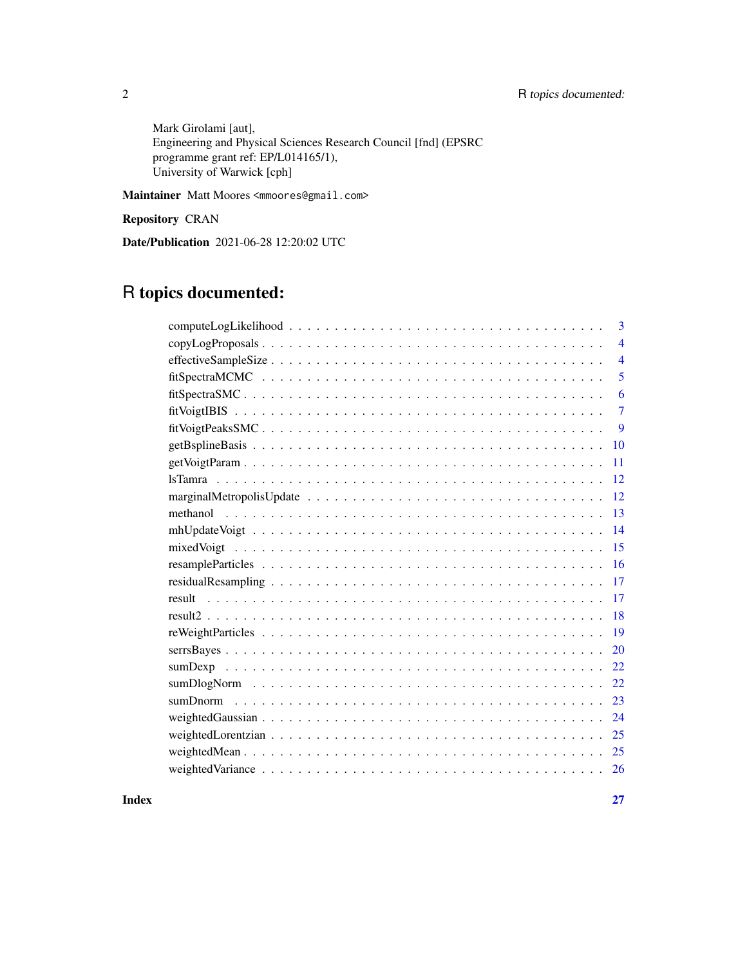Mark Girolami [aut], Engineering and Physical Sciences Research Council [fnd] (EPSRC programme grant ref: EP/L014165/1), University of Warwick [cph]

Maintainer Matt Moores <mmoores@gmail.com>

Repository CRAN

Date/Publication 2021-06-28 12:20:02 UTC

# R topics documented:

| 3                        |
|--------------------------|
| $\overline{\mathcal{A}}$ |
| $\overline{4}$           |
| 5                        |
| 6                        |
| $\tau$                   |
| 9                        |
| 10                       |
| 11                       |
| 12                       |
| 12                       |
| 13                       |
| 14                       |
| 15                       |
| 16                       |
| 17                       |
| 17                       |
| 18                       |
| 19                       |
| 20                       |
| 22                       |
| 22                       |
| 23                       |
| 24                       |
| 25                       |
| 25                       |
| <sup>26</sup>            |

**Index** [27](#page-26-0)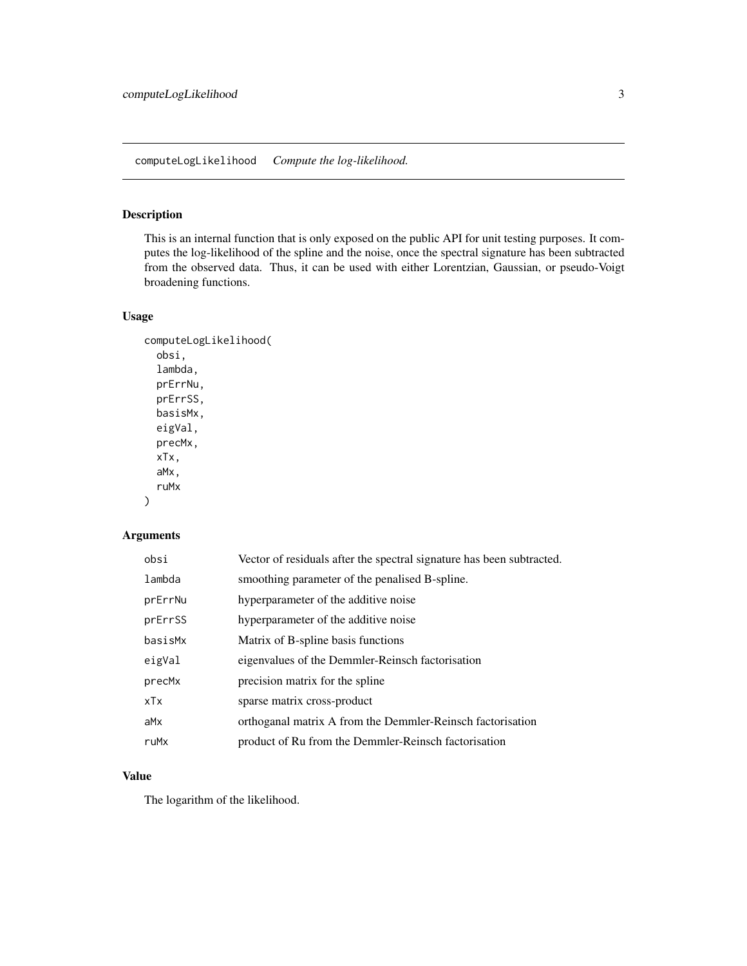<span id="page-2-0"></span>This is an internal function that is only exposed on the public API for unit testing purposes. It computes the log-likelihood of the spline and the noise, once the spectral signature has been subtracted from the observed data. Thus, it can be used with either Lorentzian, Gaussian, or pseudo-Voigt broadening functions.

# Usage

```
computeLogLikelihood(
  obsi,
  lambda,
 prErrNu,
 prErrSS,
 basisMx,
 eigVal,
 precMx,
  xTx,
  aMx,
  ruMx
```

```
)
```
# Arguments

| obsi    | Vector of residuals after the spectral signature has been subtracted. |
|---------|-----------------------------------------------------------------------|
| lambda  | smoothing parameter of the penalised B-spline.                        |
| prErrNu | hyperparameter of the additive noise                                  |
| prErrSS | hyperparameter of the additive noise                                  |
| basisMx | Matrix of B-spline basis functions                                    |
| eigVal  | eigenvalues of the Demmler-Reinsch factorisation                      |
| precMx  | precision matrix for the spline                                       |
| xTx     | sparse matrix cross-product                                           |
| aMx     | orthoganal matrix A from the Demmler-Reinsch factorisation            |
| ruMx    | product of Ru from the Demmler-Reinsch factorisation                  |

#### Value

The logarithm of the likelihood.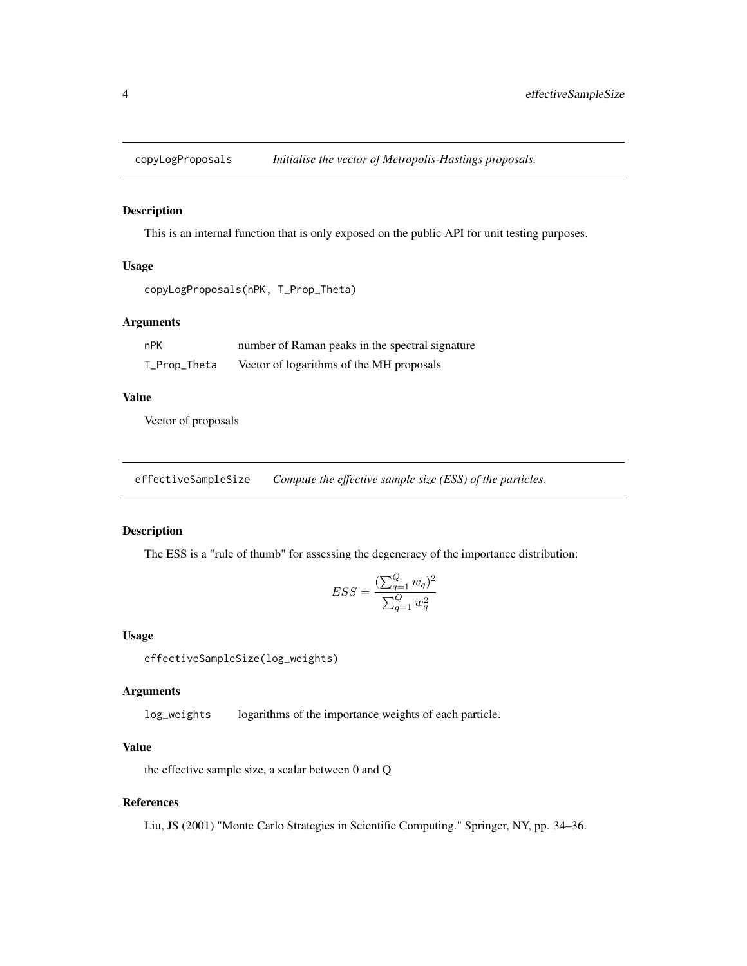<span id="page-3-0"></span>

This is an internal function that is only exposed on the public API for unit testing purposes.

#### Usage

```
copyLogProposals(nPK, T_Prop_Theta)
```
#### Arguments

| nPK          | number of Raman peaks in the spectral signature |
|--------------|-------------------------------------------------|
| T_Prop_Theta | Vector of logarithms of the MH proposals        |

# Value

Vector of proposals

effectiveSampleSize *Compute the effective sample size (ESS) of the particles.*

# Description

The ESS is a "rule of thumb" for assessing the degeneracy of the importance distribution:

$$
ESS = \frac{(\sum_{q=1}^{Q} w_q)^2}{\sum_{q=1}^{Q} w_q^2}
$$

#### Usage

effectiveSampleSize(log\_weights)

#### Arguments

log\_weights logarithms of the importance weights of each particle.

# Value

the effective sample size, a scalar between 0 and Q

# References

Liu, JS (2001) "Monte Carlo Strategies in Scientific Computing." Springer, NY, pp. 34–36.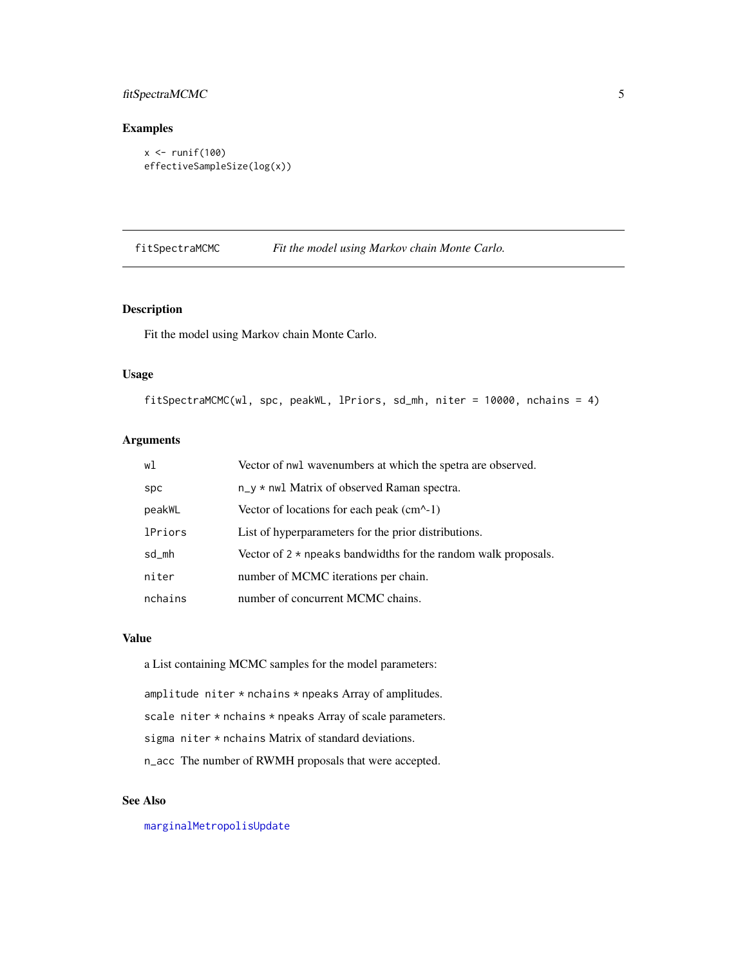# <span id="page-4-0"></span>fitSpectraMCMC 5

## Examples

```
x <- runif(100)
effectiveSampleSize(log(x))
```
fitSpectraMCMC *Fit the model using Markov chain Monte Carlo.*

## Description

Fit the model using Markov chain Monte Carlo.

#### Usage

fitSpectraMCMC(wl, spc, peakWL, lPriors, sd\_mh, niter = 10000, nchains = 4)

# Arguments

| wl             | Vector of nwl wavenumbers at which the spetra are observed.           |
|----------------|-----------------------------------------------------------------------|
| <b>Spc</b>     | $n_y * n$ well Matrix of observed Raman spectra.                      |
| peakWL         | Vector of locations for each peak $(cm^{-1})$                         |
| <b>lPriors</b> | List of hyperparameters for the prior distributions.                  |
| sd_mh          | Vector of $2 \times$ npeaks bandwidths for the random walk proposals. |
| niter          | number of MCMC iterations per chain.                                  |
| nchains        | number of concurrent MCMC chains.                                     |

#### Value

a List containing MCMC samples for the model parameters:

amplitude niter \* nchains \* npeaks Array of amplitudes.

scale niter \* nchains \* npeaks Array of scale parameters.

sigma niter \* nchains Matrix of standard deviations.

n\_acc The number of RWMH proposals that were accepted.

# See Also

[marginalMetropolisUpdate](#page-11-1)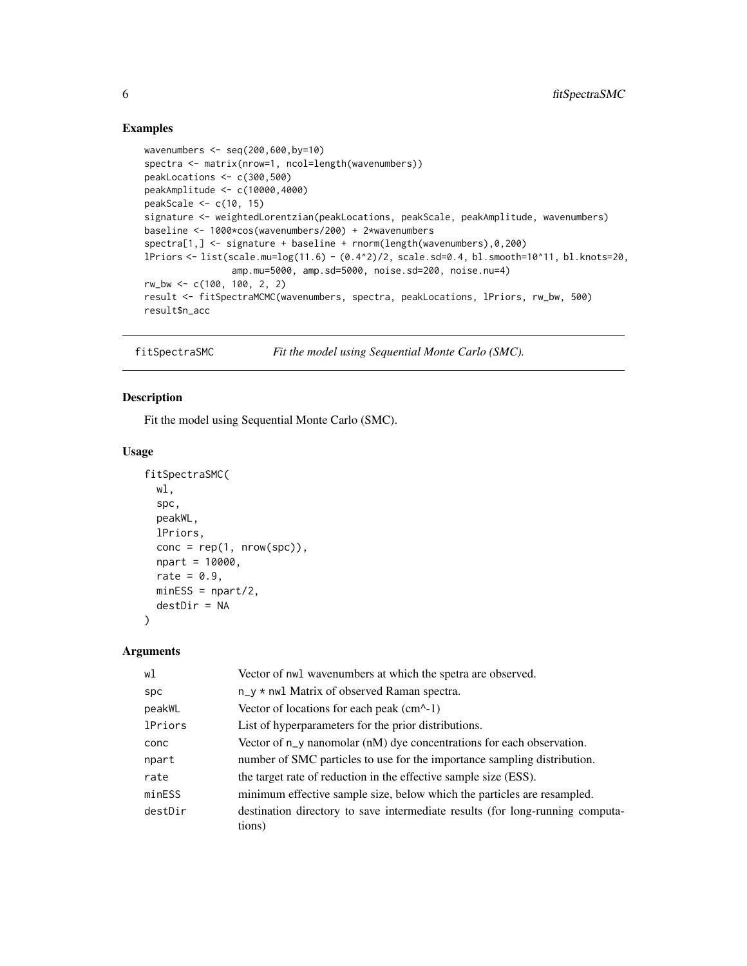#### Examples

```
wavenumbers <- seq(200,600,by=10)
spectra <- matrix(nrow=1, ncol=length(wavenumbers))
peakLocations <- c(300,500)
peakAmplitude <- c(10000,4000)
peakScale <- c(10, 15)
signature <- weightedLorentzian(peakLocations, peakScale, peakAmplitude, wavenumbers)
baseline <- 1000*cos(wavenumbers/200) + 2*wavenumbers
spectra[1,] <- signature + baseline + rnorm(length(wavenumbers),0,200)
lPriors <- list(scale.mu=log(11.6) - (0.4^2)/2, scale.sd=0.4, bl.smooth=10^11, bl.knots=20,
                amp.mu=5000, amp.sd=5000, noise.sd=200, noise.nu=4)
rw_bw <- c(100, 100, 2, 2)
result <- fitSpectraMCMC(wavenumbers, spectra, peakLocations, lPriors, rw_bw, 500)
result$n_acc
```
fitSpectraSMC *Fit the model using Sequential Monte Carlo (SMC).*

#### Description

Fit the model using Sequential Monte Carlo (SMC).

#### Usage

```
fitSpectraSMC(
  wl,
  spc,
  peakWL,
  lPriors,
  cone = rep(1, nrow(spc)),npart = 10000,
  rate = 0.9,
 minESS = npart/2,destDir = NA
)
```
# Arguments

| wl             | Vector of nwl wavenumbers at which the spetra are observed.                             |
|----------------|-----------------------------------------------------------------------------------------|
| spc            | $n_y * n$ wil Matrix of observed Raman spectra.                                         |
| peakWL         | Vector of locations for each peak $(cm^{-1})$                                           |
| <b>lPriors</b> | List of hyperparameters for the prior distributions.                                    |
| conc           | Vector of $n_y$ nanomolar ( $n$ M) dye concentrations for each observation.             |
| npart          | number of SMC particles to use for the importance sampling distribution.                |
| rate           | the target rate of reduction in the effective sample size (ESS).                        |
| minESS         | minimum effective sample size, below which the particles are resampled.                 |
| destDir        | destination directory to save intermediate results (for long-running computa-<br>tions) |

<span id="page-5-0"></span>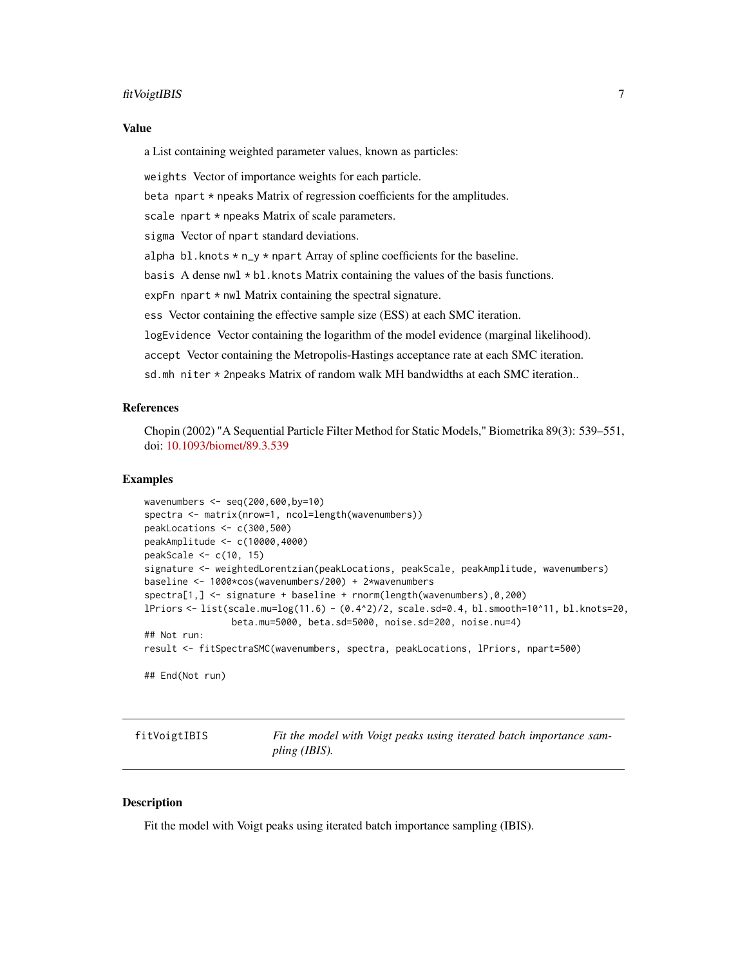#### <span id="page-6-0"></span>fitVoigtIBIS 7

#### Value

a List containing weighted parameter values, known as particles:

weights Vector of importance weights for each particle.

beta npart  $*$  npeaks Matrix of regression coefficients for the amplitudes.

scale npart \* npeaks Matrix of scale parameters.

sigma Vector of npart standard deviations.

alpha bl.knots  $* n_y * n$  npart Array of spline coefficients for the baseline.

basis A dense  $nwl * bl$ . knots Matrix containing the values of the basis functions.

expFn npart  $*$  nwl Matrix containing the spectral signature.

ess Vector containing the effective sample size (ESS) at each SMC iteration.

logEvidence Vector containing the logarithm of the model evidence (marginal likelihood).

accept Vector containing the Metropolis-Hastings acceptance rate at each SMC iteration.

sd.mh niter \* 2npeaks Matrix of random walk MH bandwidths at each SMC iteration..

#### References

Chopin (2002) "A Sequential Particle Filter Method for Static Models," Biometrika 89(3): 539–551, doi: [10.1093/biomet/89.3.539](https://doi.org/10.1093/biomet/89.3.539)

#### Examples

```
wavenumbers <- seq(200,600,by=10)
spectra <- matrix(nrow=1, ncol=length(wavenumbers))
peakLocations <- c(300,500)
peakAmplitude <- c(10000,4000)
peakScale <- c(10, 15)
signature <- weightedLorentzian(peakLocations, peakScale, peakAmplitude, wavenumbers)
baseline <- 1000*cos(wavenumbers/200) + 2*wavenumbers
spectra[1,] <- signature + baseline + rnorm(length(wavenumbers),0,200)
lPriors <- list(scale.mu=log(11.6) - (0.4^2)/2, scale.sd=0.4, bl.smooth=10^11, bl.knots=20,
                beta.mu=5000, beta.sd=5000, noise.sd=200, noise.nu=4)
## Not run:
result <- fitSpectraSMC(wavenumbers, spectra, peakLocations, lPriors, npart=500)
## End(Not run)
```
fitVoigtIBIS *Fit the model with Voigt peaks using iterated batch importance sampling (IBIS).*

#### **Description**

Fit the model with Voigt peaks using iterated batch importance sampling (IBIS).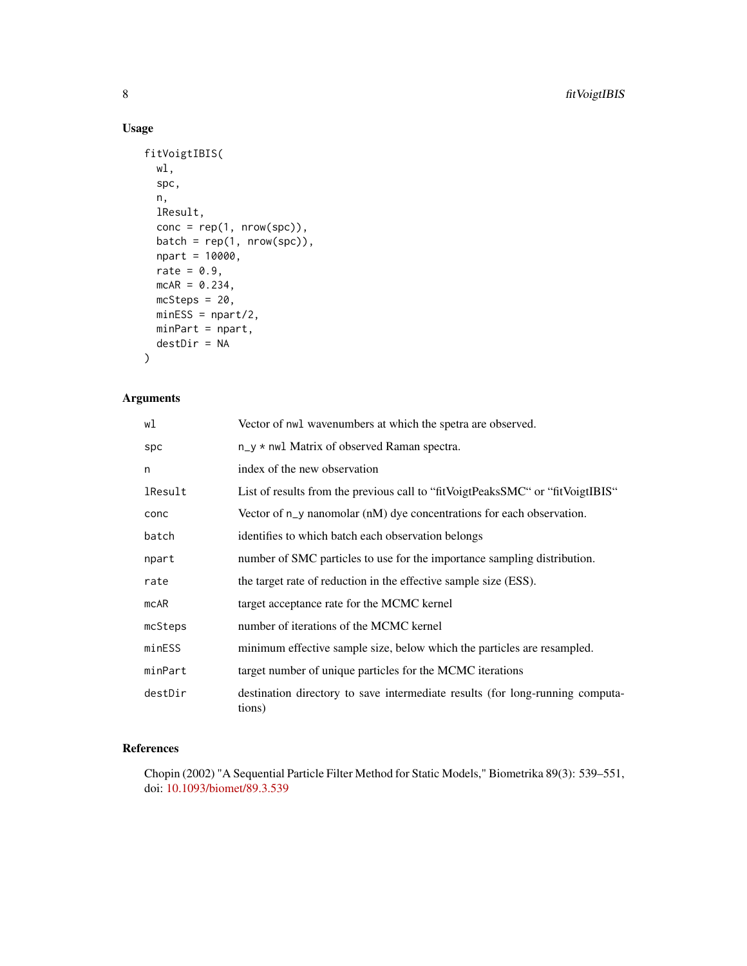# Usage

```
fitVoigtIBIS(
 wl,
  spc,
 n,
 lResult,
 cone = rep(1, nrow(spc)),batch = rep(1, nrow(spc)),npart = 10000,
 rate = 0.9,
 mcAR = 0.234,mcSteps = 20,
 minESS = npart/2,
 minPart = npart,
 destDir = NA
)
```
# Arguments

| wl      | Vector of nwl wavenumbers at which the spetra are observed.                             |
|---------|-----------------------------------------------------------------------------------------|
| spc     | $n_y * n$ wil Matrix of observed Raman spectra.                                         |
| n       | index of the new observation                                                            |
| lResult | List of results from the previous call to "fit VoigtPeaksSMC" or "fit VoigtIBIS"        |
| conc    | Vector of $n_y$ nanomolar $(nM)$ dye concentrations for each observation.               |
| batch   | identifies to which batch each observation belongs                                      |
| npart   | number of SMC particles to use for the importance sampling distribution.                |
| rate    | the target rate of reduction in the effective sample size (ESS).                        |
| mcAR    | target acceptance rate for the MCMC kernel                                              |
| mcSteps | number of iterations of the MCMC kernel                                                 |
| minESS  | minimum effective sample size, below which the particles are resampled.                 |
| minPart | target number of unique particles for the MCMC iterations                               |
| destDir | destination directory to save intermediate results (for long-running computa-<br>tions) |

# References

Chopin (2002) "A Sequential Particle Filter Method for Static Models," Biometrika 89(3): 539–551, doi: [10.1093/biomet/89.3.539](https://doi.org/10.1093/biomet/89.3.539)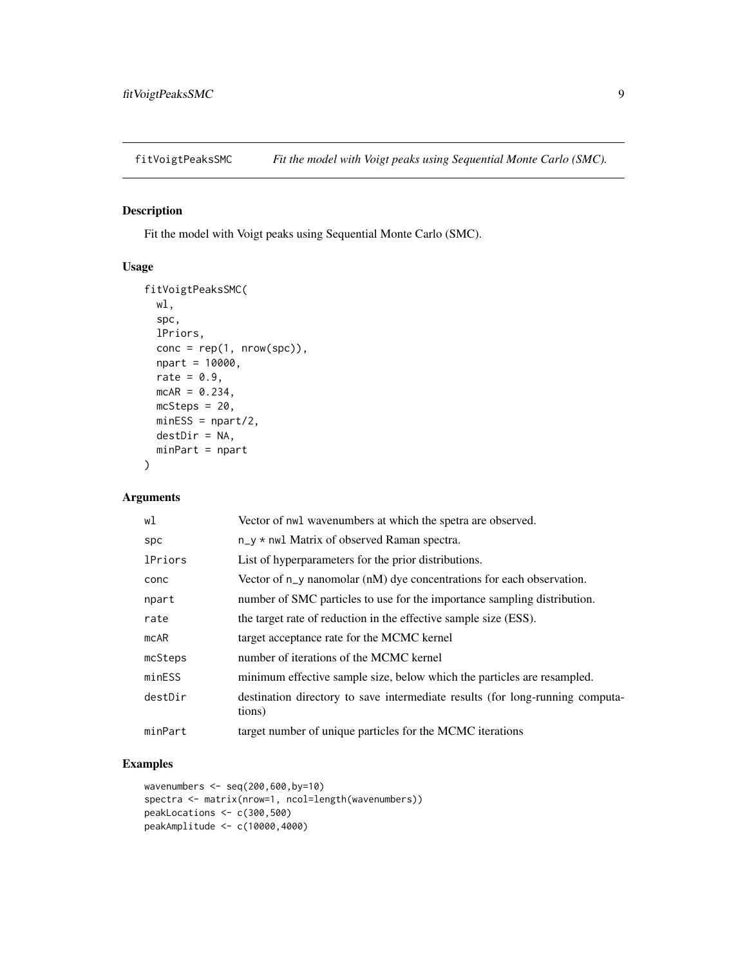<span id="page-8-0"></span>

Fit the model with Voigt peaks using Sequential Monte Carlo (SMC).

#### Usage

```
fitVoigtPeaksSMC(
 wl,
  spc,
 lPriors,
 cone = rep(1, nrow(spc)),npart = 10000,
 rate = 0.9,
 mcAR = 0.234,
 mcSteps = 20,
 minESS = npart/2,
 destDir = NA,
 minPart = npart
)
```
# Arguments

| wl             | Vector of nwl wavenumbers at which the spetra are observed.                             |
|----------------|-----------------------------------------------------------------------------------------|
| spc            | $n_y \star$ nwl Matrix of observed Raman spectra.                                       |
| <b>lPriors</b> | List of hyperparameters for the prior distributions.                                    |
| conc           | Vector of $n_y$ nanomolar (nM) dye concentrations for each observation.                 |
| npart          | number of SMC particles to use for the importance sampling distribution.                |
| rate           | the target rate of reduction in the effective sample size (ESS).                        |
| mcAR           | target acceptance rate for the MCMC kernel                                              |
| mcSteps        | number of iterations of the MCMC kernel                                                 |
| minESS         | minimum effective sample size, below which the particles are resampled.                 |
| destDir        | destination directory to save intermediate results (for long-running computa-<br>tions) |
| minPart        | target number of unique particles for the MCMC iterations                               |

# Examples

```
wavenumbers <- seq(200,600,by=10)
spectra <- matrix(nrow=1, ncol=length(wavenumbers))
peakLocations <- c(300,500)
peakAmplitude <- c(10000,4000)
```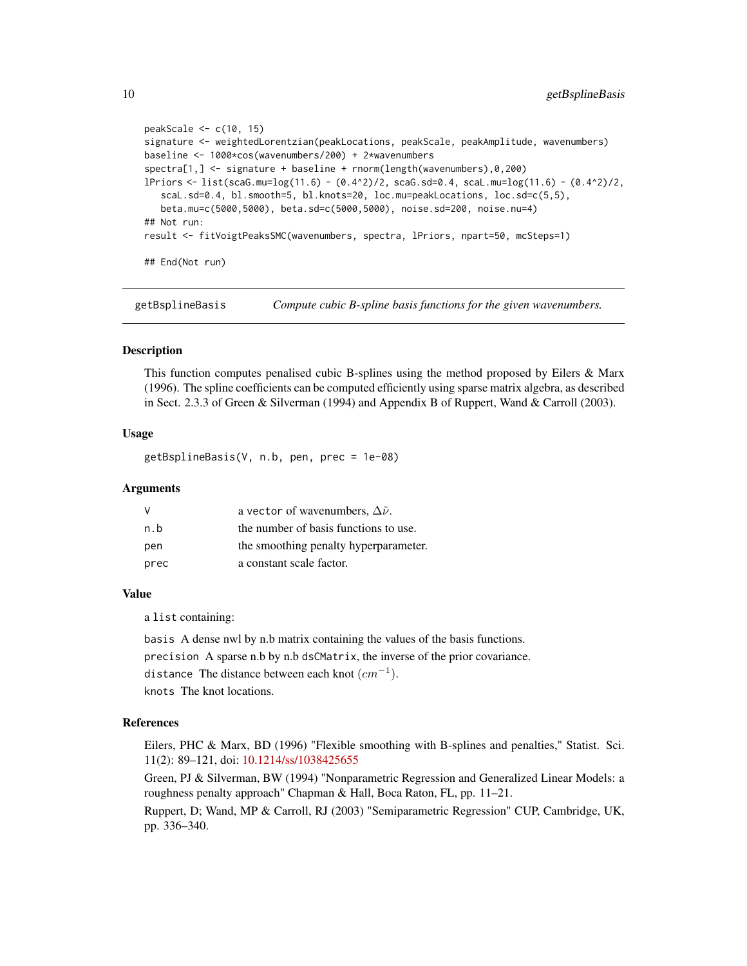```
peakScale <- c(10, 15)
signature <- weightedLorentzian(peakLocations, peakScale, peakAmplitude, wavenumbers)
baseline <- 1000*cos(wavenumbers/200) + 2*wavenumbers
spectra[1,] <- signature + baseline + rnorm(length(wavenumbers),0,200)
lPriors <- list(scaG.mu=log(11.6) - (0.4^2)/2, scaG.sd=0.4, scaL.mu=log(11.6) - (0.4^2)/2,
   scaL.sd=0.4, bl.smooth=5, bl.knots=20, loc.mu=peakLocations, loc.sd=c(5,5),
   beta.mu=c(5000,5000), beta.sd=c(5000,5000), noise.sd=200, noise.nu=4)
## Not run:
result <- fitVoigtPeaksSMC(wavenumbers, spectra, lPriors, npart=50, mcSteps=1)
## End(Not run)
```
getBsplineBasis *Compute cubic B-spline basis functions for the given wavenumbers.*

#### Description

This function computes penalised cubic B-splines using the method proposed by Eilers & Marx (1996). The spline coefficients can be computed efficiently using sparse matrix algebra, as described in Sect. 2.3.3 of Green & Silverman (1994) and Appendix B of Ruppert, Wand & Carroll (2003).

#### Usage

getBsplineBasis(V, n.b, pen, prec = 1e-08)

#### Arguments

| V    | a vector of wavenumbers, $\Delta \tilde{\nu}$ . |
|------|-------------------------------------------------|
| n.b  | the number of basis functions to use.           |
| pen  | the smoothing penalty hyperparameter.           |
| prec | a constant scale factor.                        |

#### Value

a list containing:

basis A dense nwl by n.b matrix containing the values of the basis functions.

precision A sparse n.b by n.b dsCMatrix, the inverse of the prior covariance.

distance The distance between each knot  $(cm^{-1}).$ 

knots The knot locations.

#### References

Eilers, PHC & Marx, BD (1996) "Flexible smoothing with B-splines and penalties," Statist. Sci. 11(2): 89–121, doi: [10.1214/ss/1038425655](https://doi.org/10.1214/ss/1038425655)

Green, PJ & Silverman, BW (1994) "Nonparametric Regression and Generalized Linear Models: a roughness penalty approach" Chapman & Hall, Boca Raton, FL, pp. 11–21.

Ruppert, D; Wand, MP & Carroll, RJ (2003) "Semiparametric Regression" CUP, Cambridge, UK, pp. 336–340.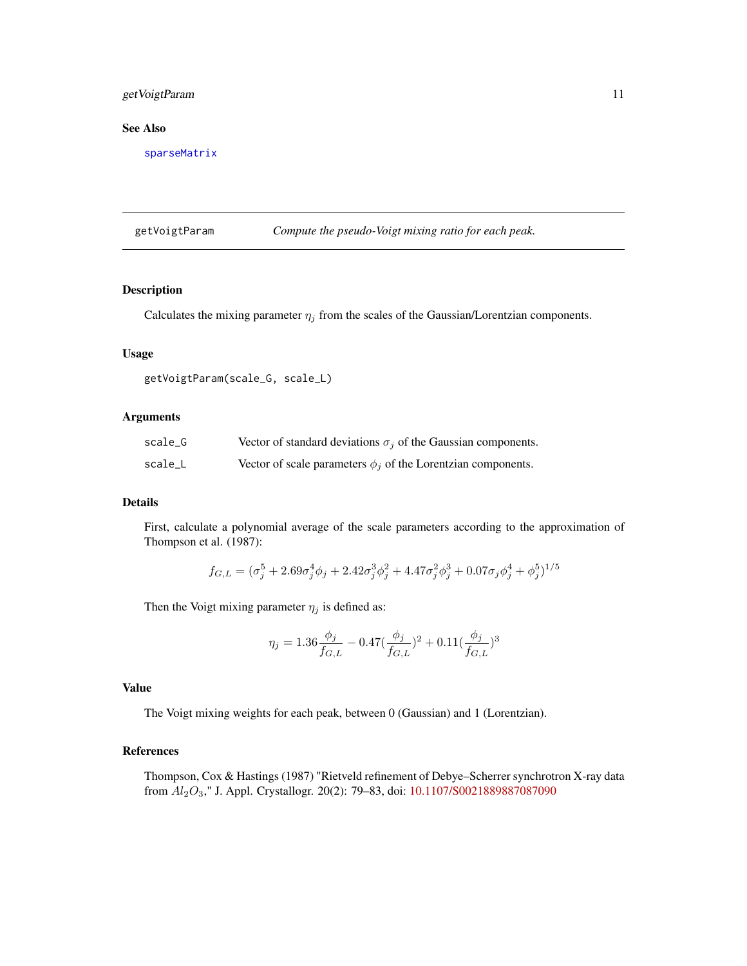# <span id="page-10-0"></span>getVoigtParam 11

## See Also

[sparseMatrix](#page-0-0)

getVoigtParam *Compute the pseudo-Voigt mixing ratio for each peak.*

#### Description

Calculates the mixing parameter  $\eta_j$  from the scales of the Gaussian/Lorentzian components.

# Usage

```
getVoigtParam(scale_G, scale_L)
```
# Arguments

| scale G | Vector of standard deviations $\sigma_i$ of the Gaussian components. |
|---------|----------------------------------------------------------------------|
| scale_L | Vector of scale parameters $\phi_i$ of the Lorentzian components.    |

#### Details

First, calculate a polynomial average of the scale parameters according to the approximation of Thompson et al. (1987):

$$
f_{G,L} = (\sigma_j^5 + 2.69\sigma_j^4\phi_j + 2.42\sigma_j^3\phi_j^2 + 4.47\sigma_j^2\phi_j^3 + 0.07\sigma_j\phi_j^4 + \phi_j^5)^{1/5}
$$

Then the Voigt mixing parameter  $\eta_j$  is defined as:

$$
\eta_j = 1.36 \frac{\phi_j}{f_{G,L}} - 0.47 (\frac{\phi_j}{f_{G,L}})^2 + 0.11 (\frac{\phi_j}{f_{G,L}})^3
$$

#### Value

The Voigt mixing weights for each peak, between 0 (Gaussian) and 1 (Lorentzian).

# References

Thompson, Cox & Hastings (1987) "Rietveld refinement of Debye–Scherrer synchrotron X-ray data from Al2O3," J. Appl. Crystallogr. 20(2): 79–83, doi: [10.1107/S0021889887087090](https://doi.org/10.1107/S0021889887087090)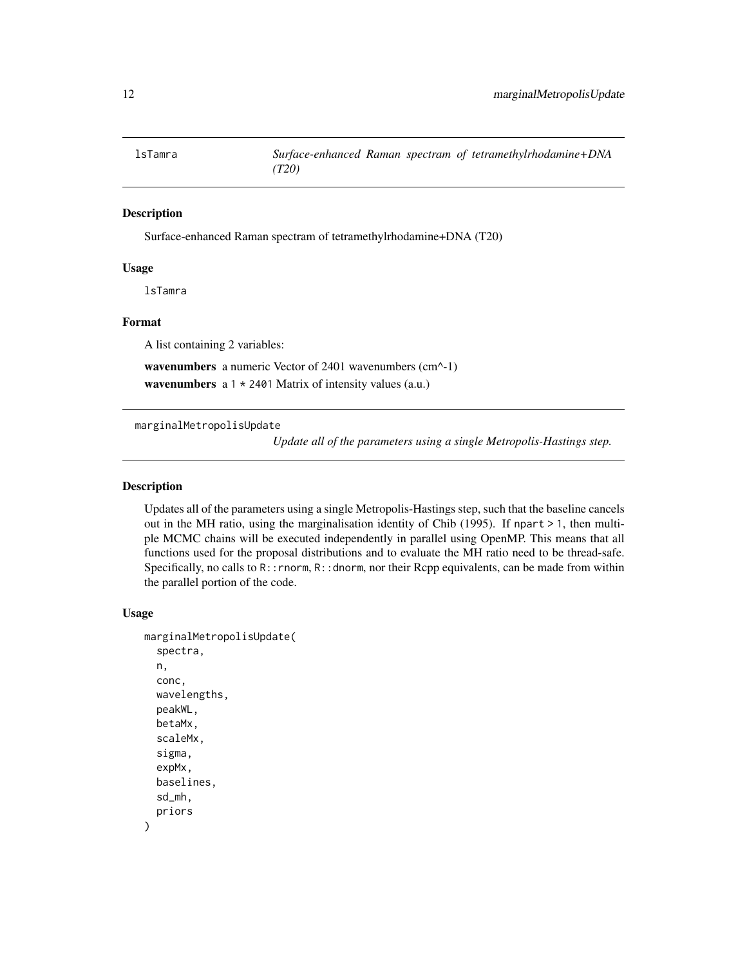<span id="page-11-0"></span>

Surface-enhanced Raman spectram of tetramethylrhodamine+DNA (T20)

# Usage

lsTamra

# Format

A list containing 2 variables:

wavenumbers a numeric Vector of 2401 wavenumbers (cm^-1) wavenumbers  $a 1 \times 2401$  Matrix of intensity values (a.u.)

<span id="page-11-1"></span>marginalMetropolisUpdate

*Update all of the parameters using a single Metropolis-Hastings step.*

#### Description

Updates all of the parameters using a single Metropolis-Hastings step, such that the baseline cancels out in the MH ratio, using the marginalisation identity of Chib (1995). If npart  $> 1$ , then multiple MCMC chains will be executed independently in parallel using OpenMP. This means that all functions used for the proposal distributions and to evaluate the MH ratio need to be thread-safe. Specifically, no calls to  $R:$ : rnorm,  $R:$ : dnorm, nor their Rcpp equivalents, can be made from within the parallel portion of the code.

# Usage

```
marginalMetropolisUpdate(
  spectra,
  n,
  conc,
  wavelengths,
  peakWL,
  betaMx,
  scaleMx,
  sigma,
  expMx,
  baselines,
  sd_mh,
  priors
)
```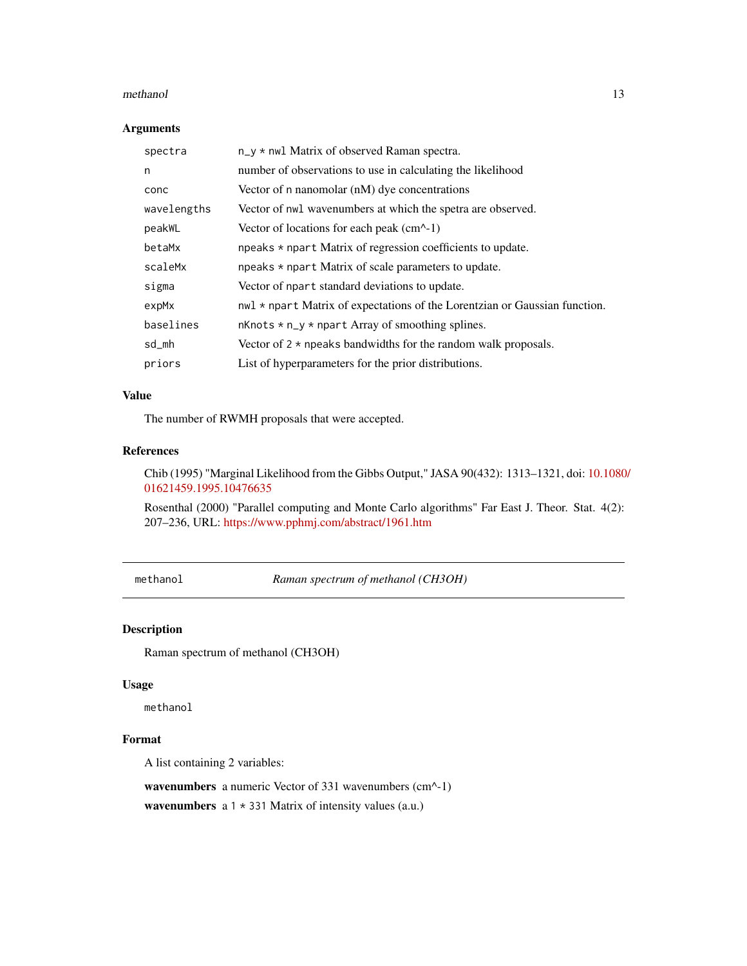#### <span id="page-12-0"></span>methanol 13

#### Arguments

| spectra     | $n_y * n$ wil Matrix of observed Raman spectra.                            |
|-------------|----------------------------------------------------------------------------|
| n           | number of observations to use in calculating the likelihood                |
| conc        | Vector of n nanomolar (nM) dye concentrations                              |
| wavelengths | Vector of nwl wavenumbers at which the spetra are observed.                |
| peakWL      | Vector of locations for each peak $(cm^{-1})$                              |
| betaMx      | npeaks * npart Matrix of regression coefficients to update.                |
| scaleMx     | npeaks $*$ npart Matrix of scale parameters to update.                     |
| sigma       | Vector of npart standard deviations to update.                             |
| expMx       | nwl * npart Matrix of expectations of the Lorentzian or Gaussian function. |
| baselines   | $n$ Knots $* n_y * n$ part Array of smoothing splines.                     |
| sd_mh       | Vector of $2 \times$ npeaks bandwidths for the random walk proposals.      |
| priors      | List of hyperparameters for the prior distributions.                       |

# Value

The number of RWMH proposals that were accepted.

# References

Chib (1995) "Marginal Likelihood from the Gibbs Output," JASA 90(432): 1313–1321, doi: [10.1080](https://doi.org/10.1080/01621459.1995.10476635)/ [01621459.1995.10476635](https://doi.org/10.1080/01621459.1995.10476635)

Rosenthal (2000) "Parallel computing and Monte Carlo algorithms" Far East J. Theor. Stat. 4(2): 207–236, URL: <https://www.pphmj.com/abstract/1961.htm>

methanol *Raman spectrum of methanol (CH3OH)*

# Description

Raman spectrum of methanol (CH3OH)

#### Usage

methanol

#### Format

A list containing 2 variables:

wavenumbers a numeric Vector of 331 wavenumbers (cm^-1)

wavenumbers  $a 1 \times 331$  Matrix of intensity values (a.u.)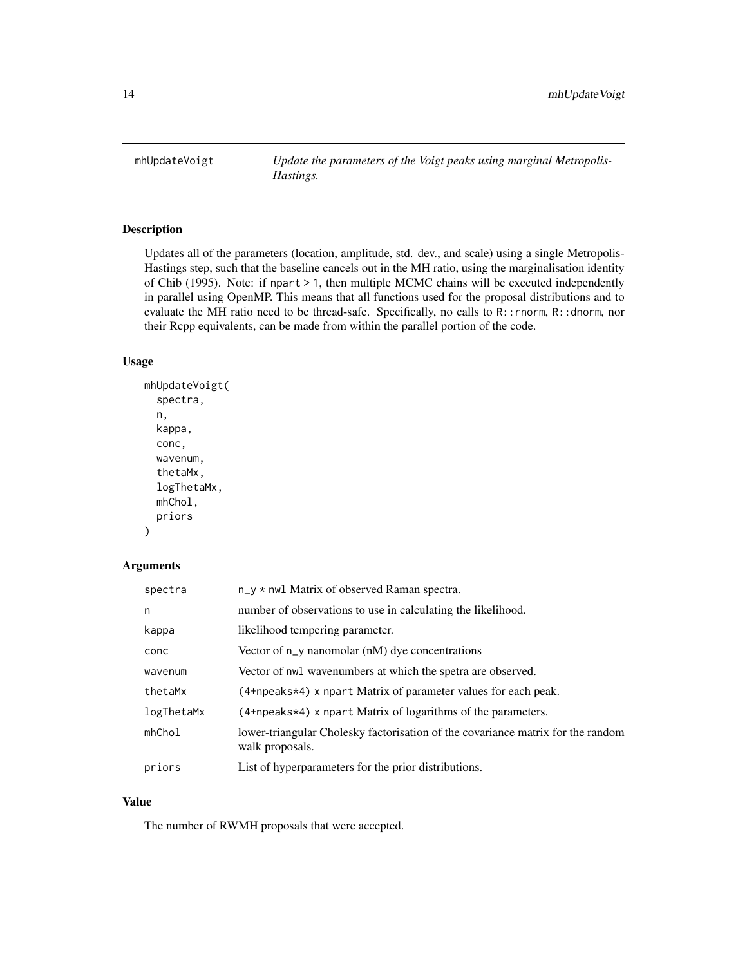<span id="page-13-0"></span>mhUpdateVoigt *Update the parameters of the Voigt peaks using marginal Metropolis-Hastings.*

# Description

Updates all of the parameters (location, amplitude, std. dev., and scale) using a single Metropolis-Hastings step, such that the baseline cancels out in the MH ratio, using the marginalisation identity of Chib (1995). Note: if npart > 1, then multiple MCMC chains will be executed independently in parallel using OpenMP. This means that all functions used for the proposal distributions and to evaluate the MH ratio need to be thread-safe. Specifically, no calls to R::rnorm, R::dnorm, nor their Rcpp equivalents, can be made from within the parallel portion of the code.

#### Usage

```
mhUpdateVoigt(
  spectra,
  n,
  kappa,
  conc,
  wavenum,
  thetaMx,
  logThetaMx,
  mhChol,
  priors
)
```
#### Arguments

| spectra    | $n_y * n$ wil Matrix of observed Raman spectra.                                                    |
|------------|----------------------------------------------------------------------------------------------------|
| n          | number of observations to use in calculating the likelihood.                                       |
| kappa      | likelihood tempering parameter.                                                                    |
| conc       | Vector of $n_y$ nanomolar (nM) dye concentrations                                                  |
| wavenum    | Vector of nwl wavenumbers at which the spetra are observed.                                        |
| thetaMx    | (4+npeaks*4) x npart Matrix of parameter values for each peak.                                     |
| logThetaMx | $(4 + n \cdot 4)$ x npart Matrix of logarithms of the parameters.                                  |
| mhChol     | lower-triangular Cholesky factorisation of the covariance matrix for the random<br>walk proposals. |
| priors     | List of hyperparameters for the prior distributions.                                               |

#### Value

The number of RWMH proposals that were accepted.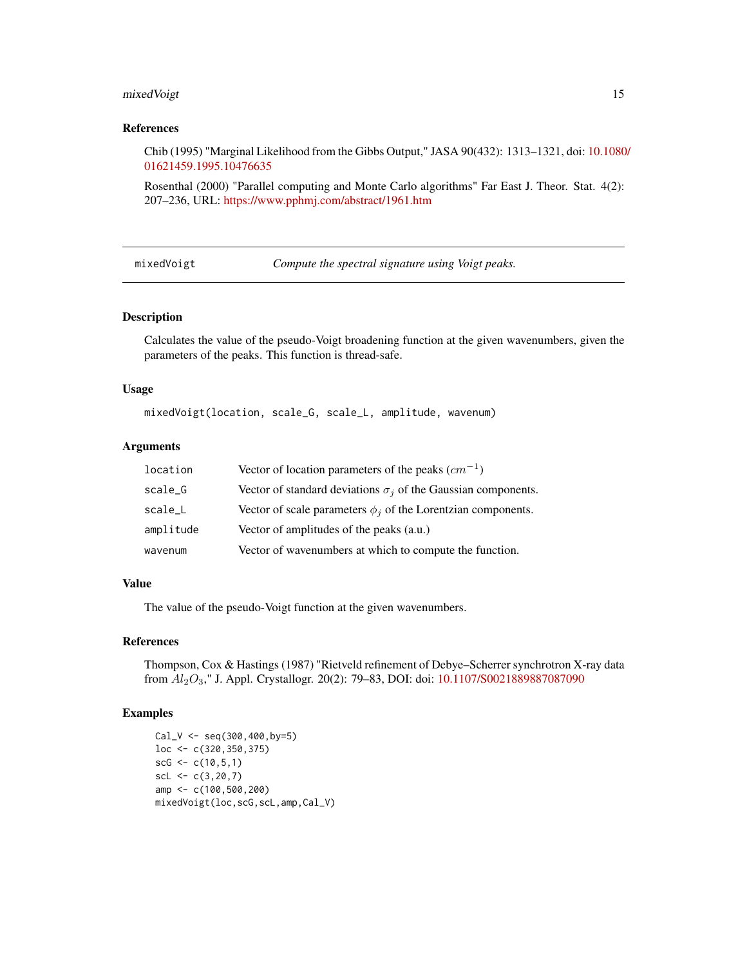# <span id="page-14-0"></span>mixedVoigt 15

#### References

Chib (1995) "Marginal Likelihood from the Gibbs Output," JASA 90(432): 1313–1321, doi: [10.1080](https://doi.org/10.1080/01621459.1995.10476635)/ [01621459.1995.10476635](https://doi.org/10.1080/01621459.1995.10476635)

Rosenthal (2000) "Parallel computing and Monte Carlo algorithms" Far East J. Theor. Stat. 4(2): 207–236, URL: <https://www.pphmj.com/abstract/1961.htm>

mixedVoigt *Compute the spectral signature using Voigt peaks.*

## Description

Calculates the value of the pseudo-Voigt broadening function at the given wavenumbers, given the parameters of the peaks. This function is thread-safe.

#### Usage

mixedVoigt(location, scale\_G, scale\_L, amplitude, wavenum)

#### Arguments

| location  | Vector of location parameters of the peaks $(cm^{-1})$               |
|-----------|----------------------------------------------------------------------|
| scale_G   | Vector of standard deviations $\sigma_i$ of the Gaussian components. |
| scale_L   | Vector of scale parameters $\phi_i$ of the Lorentzian components.    |
| amplitude | Vector of amplitudes of the peaks (a.u.)                             |
| wavenum   | Vector of wavenumbers at which to compute the function.              |

#### Value

The value of the pseudo-Voigt function at the given wavenumbers.

#### References

Thompson, Cox & Hastings (1987) "Rietveld refinement of Debye–Scherrer synchrotron X-ray data from Al2O3," J. Appl. Crystallogr. 20(2): 79–83, DOI: doi: [10.1107/S0021889887087090](https://doi.org/10.1107/S0021889887087090)

#### Examples

Cal\_V <- seq(300,400,by=5) loc <- c(320,350,375)  $scG \leftarrow c(10, 5, 1)$  $scl \leftarrow c(3, 20, 7)$ amp <- c(100,500,200) mixedVoigt(loc,scG,scL,amp,Cal\_V)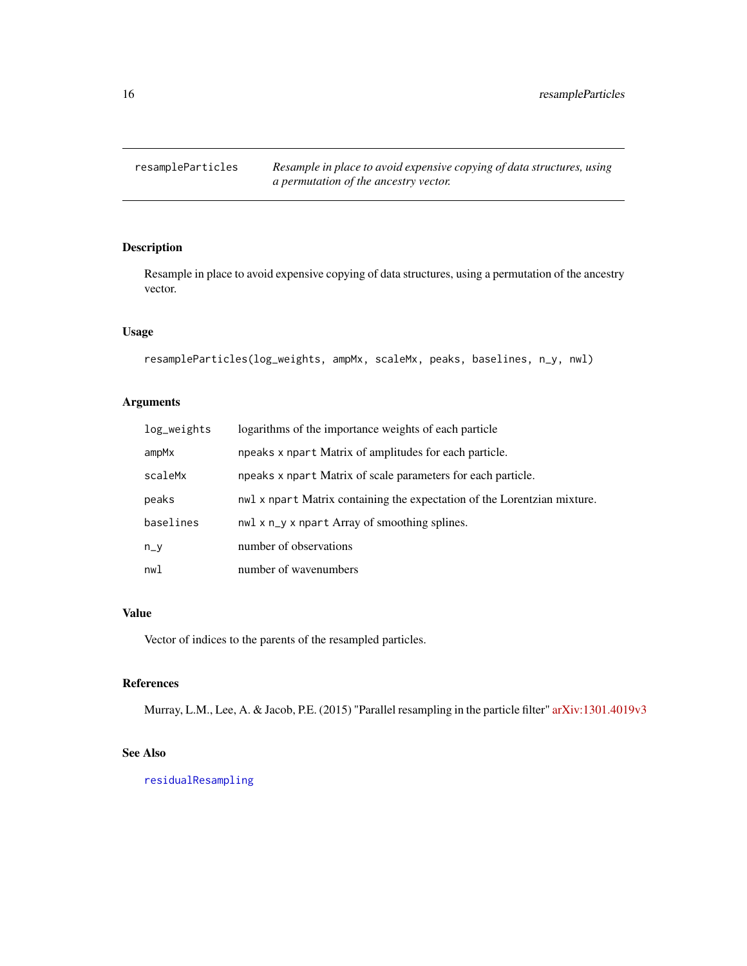<span id="page-15-0"></span>

Resample in place to avoid expensive copying of data structures, using a permutation of the ancestry vector.

## Usage

```
resampleParticles(log_weights, ampMx, scaleMx, peaks, baselines, n_y, nwl)
```
# Arguments

| log_weights | logarithms of the importance weights of each particle                    |
|-------------|--------------------------------------------------------------------------|
| ampMx       | npeaks x npart Matrix of amplitudes for each particle.                   |
| scaleMx     | npeaks x npart Matrix of scale parameters for each particle.             |
| peaks       | nwl x npart Matrix containing the expectation of the Lorentzian mixture. |
| baselines   | nwl x n_y x npart Array of smoothing splines.                            |
| $n_v$       | number of observations                                                   |
| nwl         | number of wavenumbers                                                    |

# Value

Vector of indices to the parents of the resampled particles.

# References

Murray, L.M., Lee, A. & Jacob, P.E. (2015) "Parallel resampling in the particle filter" [arXiv:1301.4019v3](https://arxiv.org/abs/1301.4019)

# See Also

[residualResampling](#page-16-1)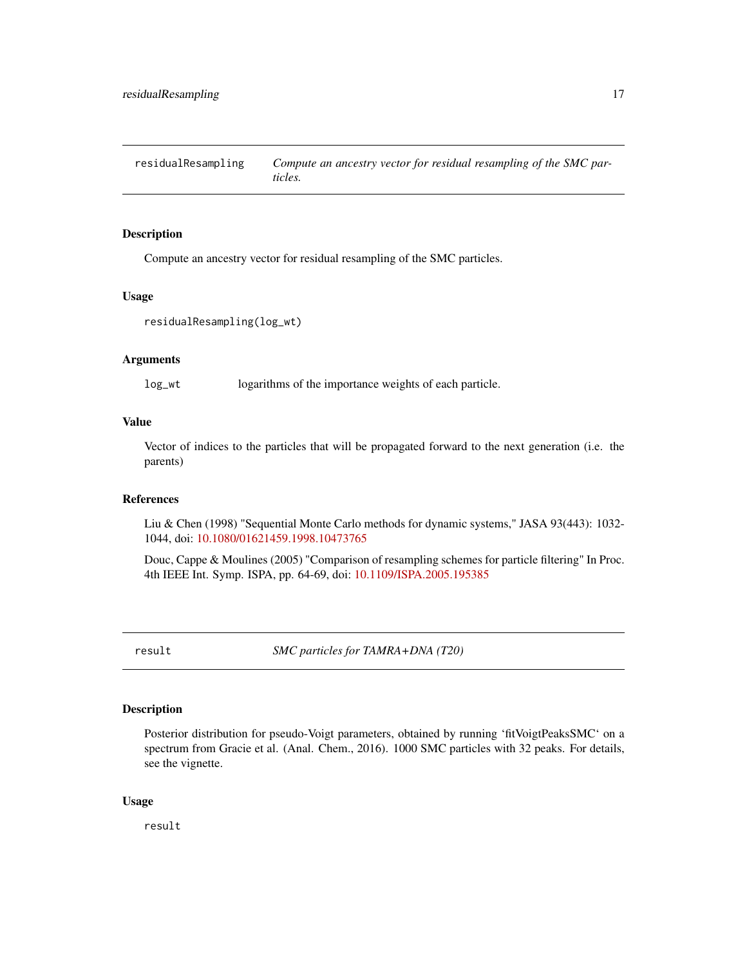<span id="page-16-1"></span><span id="page-16-0"></span>residualResampling *Compute an ancestry vector for residual resampling of the SMC particles.*

#### Description

Compute an ancestry vector for residual resampling of the SMC particles.

#### Usage

```
residualResampling(log_wt)
```
#### Arguments

log\_wt logarithms of the importance weights of each particle.

#### Value

Vector of indices to the particles that will be propagated forward to the next generation (i.e. the parents)

#### References

Liu & Chen (1998) "Sequential Monte Carlo methods for dynamic systems," JASA 93(443): 1032- 1044, doi: [10.1080/01621459.1998.10473765](https://doi.org/10.1080/01621459.1998.10473765)

Douc, Cappe & Moulines (2005) "Comparison of resampling schemes for particle filtering" In Proc. 4th IEEE Int. Symp. ISPA, pp. 64-69, doi: [10.1109/ISPA.2005.195385](https://doi.org/10.1109/ISPA.2005.195385)

result *SMC particles for TAMRA+DNA (T20)*

#### Description

Posterior distribution for pseudo-Voigt parameters, obtained by running 'fitVoigtPeaksSMC' on a spectrum from Gracie et al. (Anal. Chem., 2016). 1000 SMC particles with 32 peaks. For details, see the vignette.

#### Usage

result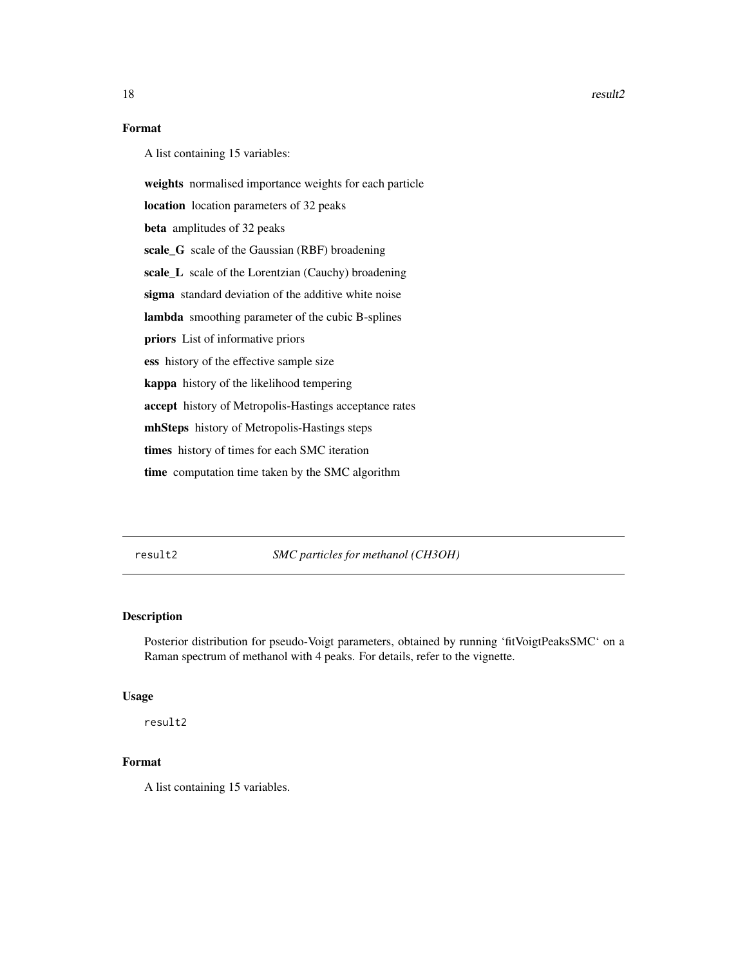# <span id="page-17-0"></span>Format

A list containing 15 variables:

weights normalised importance weights for each particle

location location parameters of 32 peaks

beta amplitudes of 32 peaks

scale\_G scale of the Gaussian (RBF) broadening

scale\_L scale of the Lorentzian (Cauchy) broadening

sigma standard deviation of the additive white noise

lambda smoothing parameter of the cubic B-splines

priors List of informative priors

ess history of the effective sample size

kappa history of the likelihood tempering

accept history of Metropolis-Hastings acceptance rates

mhSteps history of Metropolis-Hastings steps

times history of times for each SMC iteration

time computation time taken by the SMC algorithm

result2 *SMC particles for methanol (CH3OH)*

# Description

Posterior distribution for pseudo-Voigt parameters, obtained by running 'fitVoigtPeaksSMC' on a Raman spectrum of methanol with 4 peaks. For details, refer to the vignette.

#### Usage

result2

#### Format

A list containing 15 variables.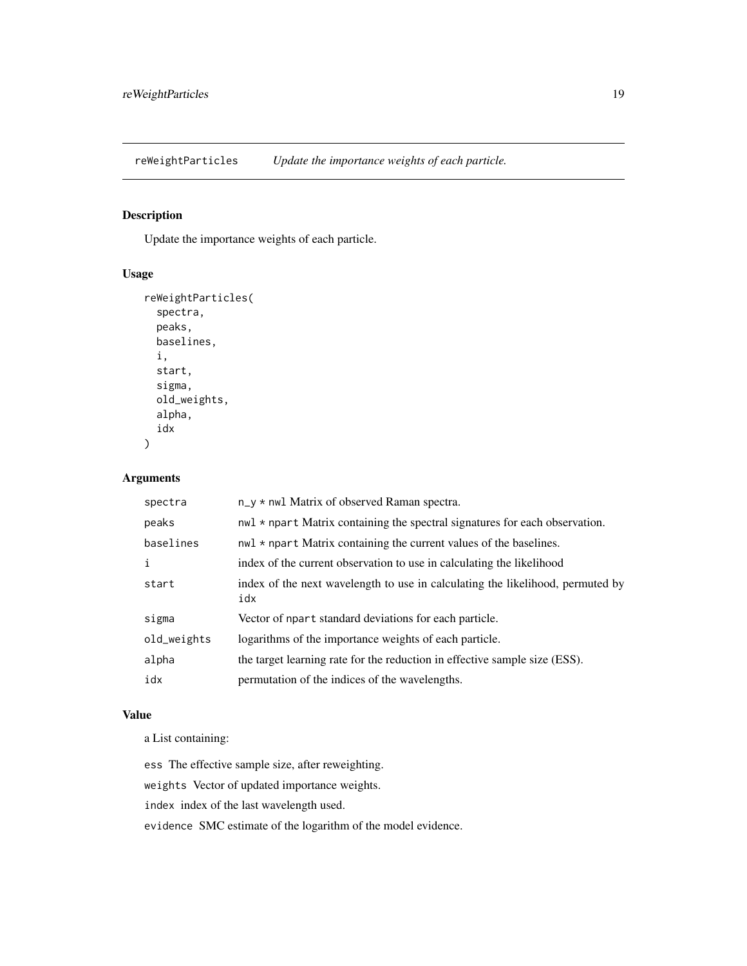<span id="page-18-0"></span>reWeightParticles *Update the importance weights of each particle.*

#### Description

Update the importance weights of each particle.

# Usage

```
reWeightParticles(
  spectra,
  peaks,
 baselines,
  i,
  start,
  sigma,
  old_weights,
  alpha,
  idx
\mathcal{E}
```
#### Arguments

| spectra     | n_y * nwl Matrix of observed Raman spectra.                                           |
|-------------|---------------------------------------------------------------------------------------|
| peaks       | $nwl * npart Matrix containing the spectral signatures for each observation.$         |
| baselines   | $nwl * npart Matrix containing the current values of the baselines.$                  |
| i           | index of the current observation to use in calculating the likelihood                 |
| start       | index of the next wavelength to use in calculating the likelihood, permuted by<br>idx |
| sigma       | Vector of npart standard deviations for each particle.                                |
| old_weights | logarithms of the importance weights of each particle.                                |
| alpha       | the target learning rate for the reduction in effective sample size (ESS).            |
| idx         | permutation of the indices of the wavelengths.                                        |

#### Value

a List containing:

ess The effective sample size, after reweighting.

weights Vector of updated importance weights.

index index of the last wavelength used.

evidence SMC estimate of the logarithm of the model evidence.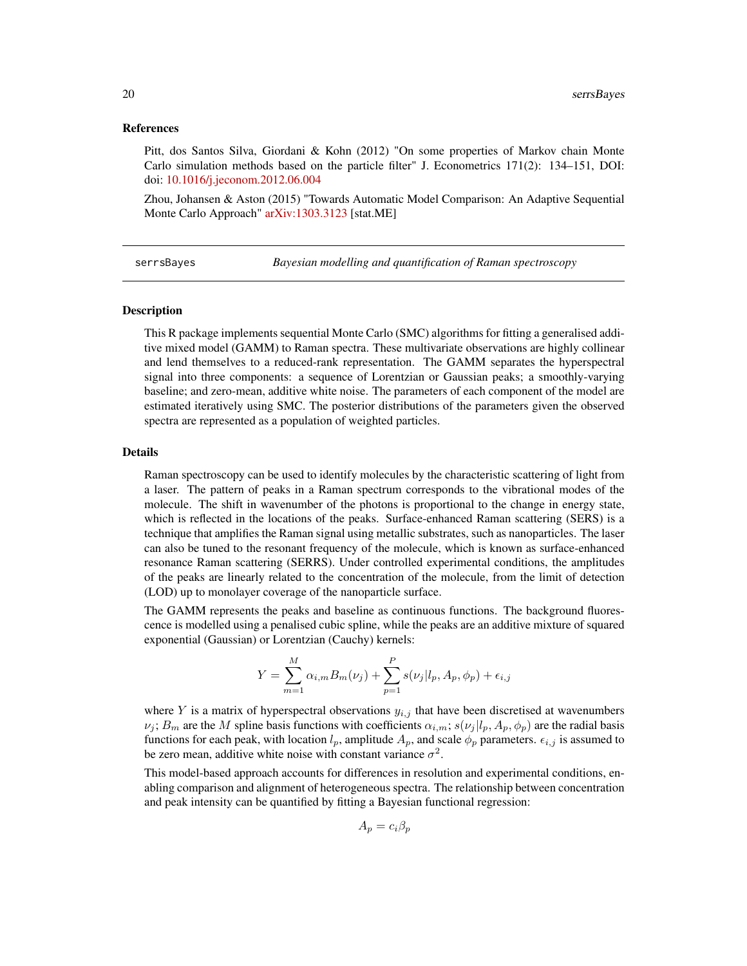#### <span id="page-19-0"></span>References

Pitt, dos Santos Silva, Giordani & Kohn (2012) "On some properties of Markov chain Monte Carlo simulation methods based on the particle filter" J. Econometrics 171(2): 134–151, DOI: doi: [10.1016/j.jeconom.2012.06.004](https://doi.org/10.1016/j.jeconom.2012.06.004)

Zhou, Johansen & Aston (2015) "Towards Automatic Model Comparison: An Adaptive Sequential Monte Carlo Approach" [arXiv:1303.3123](https://arxiv.org/abs/1303.3123) [stat.ME]

serrsBayes *Bayesian modelling and quantification of Raman spectroscopy*

#### **Description**

This R package implements sequential Monte Carlo (SMC) algorithms for fitting a generalised additive mixed model (GAMM) to Raman spectra. These multivariate observations are highly collinear and lend themselves to a reduced-rank representation. The GAMM separates the hyperspectral signal into three components: a sequence of Lorentzian or Gaussian peaks; a smoothly-varying baseline; and zero-mean, additive white noise. The parameters of each component of the model are estimated iteratively using SMC. The posterior distributions of the parameters given the observed spectra are represented as a population of weighted particles.

#### Details

Raman spectroscopy can be used to identify molecules by the characteristic scattering of light from a laser. The pattern of peaks in a Raman spectrum corresponds to the vibrational modes of the molecule. The shift in wavenumber of the photons is proportional to the change in energy state, which is reflected in the locations of the peaks. Surface-enhanced Raman scattering (SERS) is a technique that amplifies the Raman signal using metallic substrates, such as nanoparticles. The laser can also be tuned to the resonant frequency of the molecule, which is known as surface-enhanced resonance Raman scattering (SERRS). Under controlled experimental conditions, the amplitudes of the peaks are linearly related to the concentration of the molecule, from the limit of detection (LOD) up to monolayer coverage of the nanoparticle surface.

The GAMM represents the peaks and baseline as continuous functions. The background fluorescence is modelled using a penalised cubic spline, while the peaks are an additive mixture of squared exponential (Gaussian) or Lorentzian (Cauchy) kernels:

$$
Y = \sum_{m=1}^{M} \alpha_{i,m} B_m(\nu_j) + \sum_{p=1}^{P} s(\nu_j | l_p, A_p, \phi_p) + \epsilon_{i,j}
$$

where Y is a matrix of hyperspectral observations  $y_{i,j}$  that have been discretised at wavenumbers  $\nu_j$ ;  $B_m$  are the M spline basis functions with coefficients  $\alpha_{i,m}$ ;  $s(\nu_j | l_p, A_p, \phi_p)$  are the radial basis functions for each peak, with location  $l_p$ , amplitude  $A_p$ , and scale  $\phi_p$  parameters.  $\epsilon_{i,j}$  is assumed to be zero mean, additive white noise with constant variance  $\sigma^2$ .

This model-based approach accounts for differences in resolution and experimental conditions, enabling comparison and alignment of heterogeneous spectra. The relationship between concentration and peak intensity can be quantified by fitting a Bayesian functional regression:

$$
A_p = c_i \beta_p
$$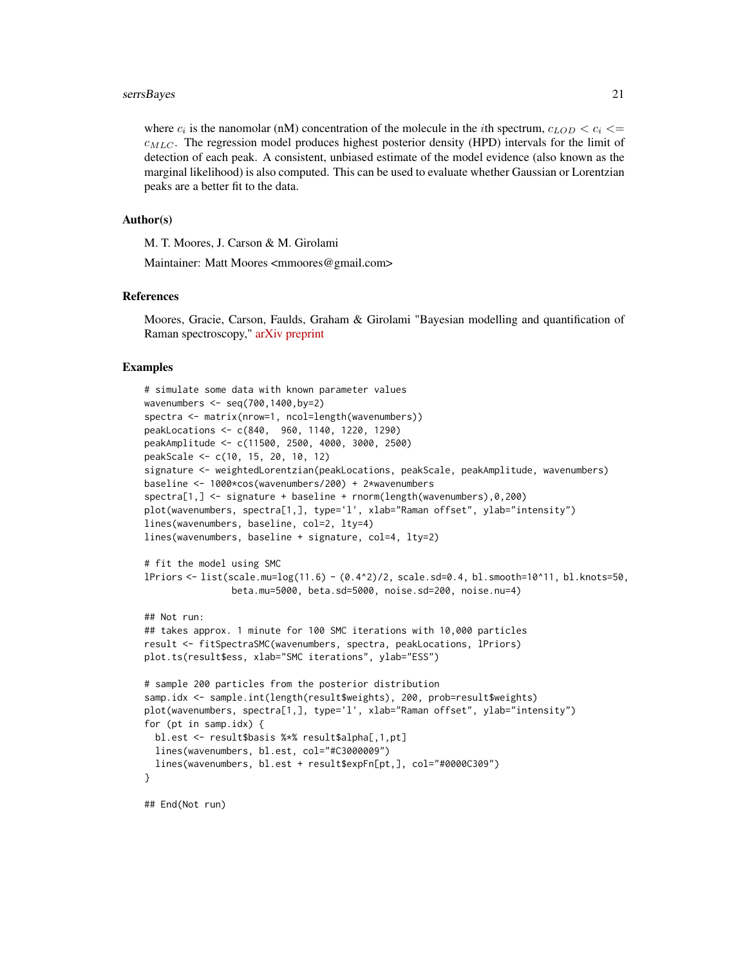#### serrsBayes 21

where  $c_i$  is the nanomolar (nM) concentration of the molecule in the *i*th spectrum,  $c_{LOD} < c_i \leq$  $c_{MLC}$ . The regression model produces highest posterior density (HPD) intervals for the limit of detection of each peak. A consistent, unbiased estimate of the model evidence (also known as the marginal likelihood) is also computed. This can be used to evaluate whether Gaussian or Lorentzian peaks are a better fit to the data.

#### Author(s)

M. T. Moores, J. Carson & M. Girolami

Maintainer: Matt Moores <mmoores@gmail.com>

#### References

Moores, Gracie, Carson, Faulds, Graham & Girolami "Bayesian modelling and quantification of Raman spectroscopy," [arXiv preprint](https://arxiv.org/abs/1604.07299)

#### Examples

```
# simulate some data with known parameter values
wavenumbers <- seq(700,1400,by=2)
spectra <- matrix(nrow=1, ncol=length(wavenumbers))
peakLocations <- c(840, 960, 1140, 1220, 1290)
peakAmplitude <- c(11500, 2500, 4000, 3000, 2500)
peakScale <- c(10, 15, 20, 10, 12)
signature <- weightedLorentzian(peakLocations, peakScale, peakAmplitude, wavenumbers)
baseline <- 1000*cos(wavenumbers/200) + 2*wavenumbers
spectra[1,] <- signature + baseline + rnorm(length(wavenumbers),0,200)
plot(wavenumbers, spectra[1,], type='l', xlab="Raman offset", ylab="intensity")
lines(wavenumbers, baseline, col=2, lty=4)
lines(wavenumbers, baseline + signature, col=4, lty=2)
# fit the model using SMC
lPriors <- list(scale.mu=log(11.6) - (0.4^2)/2, scale.sd=0.4, bl.smooth=10^11, bl.knots=50,
                beta.mu=5000, beta.sd=5000, noise.sd=200, noise.nu=4)
## Not run:
## takes approx. 1 minute for 100 SMC iterations with 10,000 particles
result <- fitSpectraSMC(wavenumbers, spectra, peakLocations, lPriors)
plot.ts(result$ess, xlab="SMC iterations", ylab="ESS")
# sample 200 particles from the posterior distribution
samp.idx <- sample.int(length(result$weights), 200, prob=result$weights)
plot(wavenumbers, spectra[1,], type='l', xlab="Raman offset", ylab="intensity")
for (pt in samp.idx) {
 bl.est <- result$basis %*% result$alpha[,1,pt]
 lines(wavenumbers, bl.est, col="#C3000009")
 lines(wavenumbers, bl.est + result$expFn[pt,], col="#0000C309")
}
## End(Not run)
```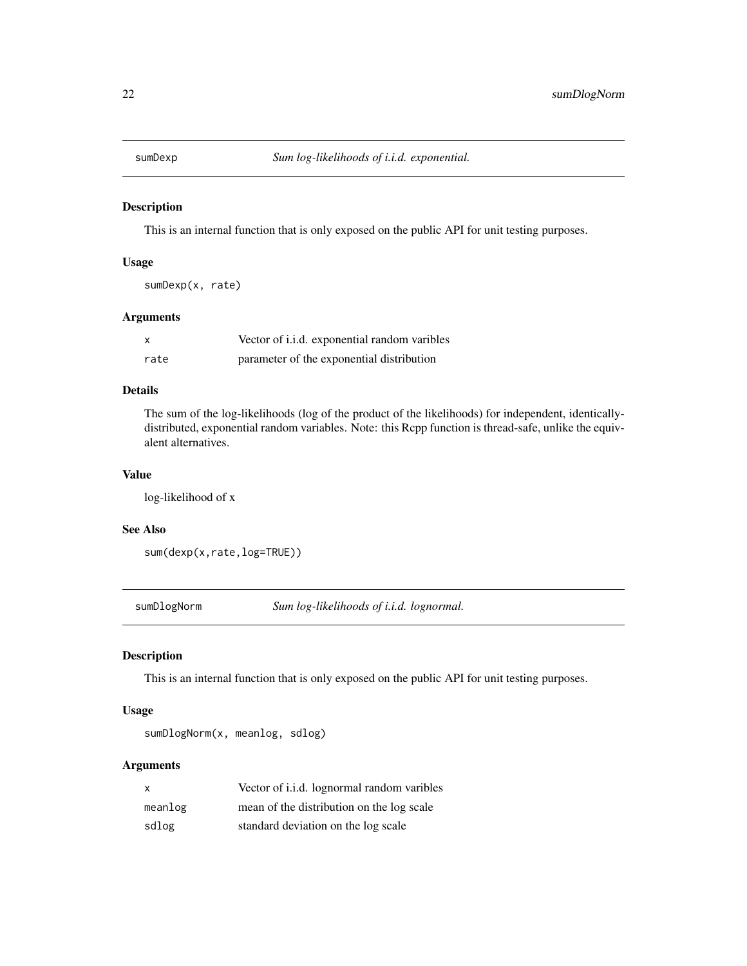<span id="page-21-0"></span>

This is an internal function that is only exposed on the public API for unit testing purposes.

# Usage

sumDexp(x, rate)

# Arguments

|      | Vector of i.i.d. exponential random varibles |
|------|----------------------------------------------|
| rate | parameter of the exponential distribution    |

# Details

The sum of the log-likelihoods (log of the product of the likelihoods) for independent, identicallydistributed, exponential random variables. Note: this Rcpp function is thread-safe, unlike the equivalent alternatives.

#### Value

log-likelihood of x

#### See Also

```
sum(dexp(x,rate,log=TRUE))
```
sumDlogNorm *Sum log-likelihoods of i.i.d. lognormal.*

# Description

This is an internal function that is only exposed on the public API for unit testing purposes.

# Usage

```
sumDlogNorm(x, meanlog, sdlog)
```
#### Arguments

| X       | Vector of i.i.d. lognormal random varibles |
|---------|--------------------------------------------|
| meanlog | mean of the distribution on the log scale  |
| sdlog   | standard deviation on the log scale        |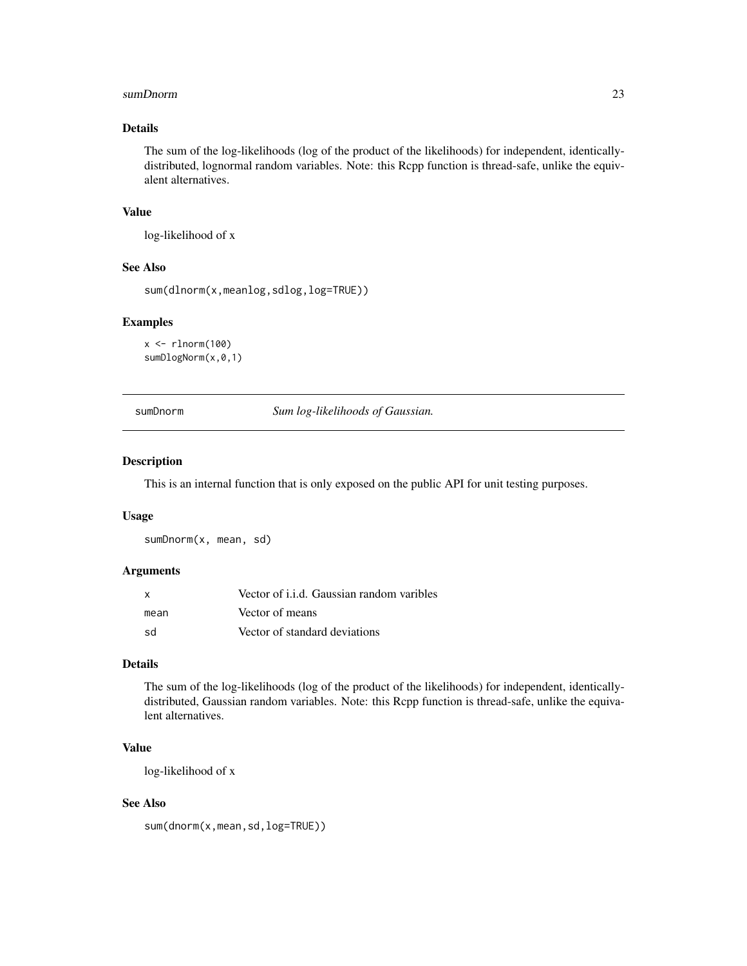#### <span id="page-22-0"></span>sumDnorm 23

## Details

The sum of the log-likelihoods (log of the product of the likelihoods) for independent, identicallydistributed, lognormal random variables. Note: this Rcpp function is thread-safe, unlike the equivalent alternatives.

#### Value

log-likelihood of x

#### See Also

sum(dlnorm(x,meanlog,sdlog,log=TRUE))

# Examples

```
x \leftarrow \text{rlnorm}(100)sumDlogNorm(x,0,1)
```
sumDnorm *Sum log-likelihoods of Gaussian.*

# Description

This is an internal function that is only exposed on the public API for unit testing purposes.

#### Usage

sumDnorm(x, mean, sd)

#### Arguments

| $\mathbf{x}$ | Vector of i.i.d. Gaussian random varibles |
|--------------|-------------------------------------------|
| mean         | Vector of means                           |
| .sd          | Vector of standard deviations             |

## Details

The sum of the log-likelihoods (log of the product of the likelihoods) for independent, identicallydistributed, Gaussian random variables. Note: this Rcpp function is thread-safe, unlike the equivalent alternatives.

# Value

log-likelihood of x

# See Also

sum(dnorm(x,mean,sd,log=TRUE))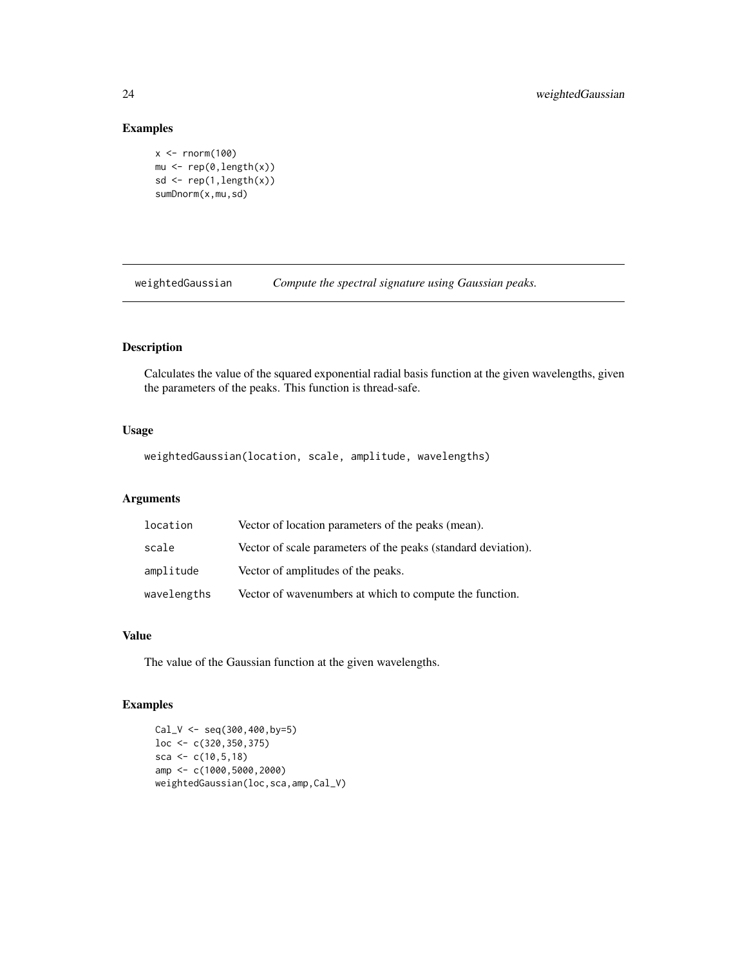# Examples

```
x < - rnorm(100)
mu <- rep(0,length(x))
sd \leftarrow \text{rep}(1,\text{length}(x))sumDnorm(x,mu,sd)
```
weightedGaussian *Compute the spectral signature using Gaussian peaks.*

# Description

Calculates the value of the squared exponential radial basis function at the given wavelengths, given the parameters of the peaks. This function is thread-safe.

# Usage

weightedGaussian(location, scale, amplitude, wavelengths)

## Arguments

| location    | Vector of location parameters of the peaks (mean).            |
|-------------|---------------------------------------------------------------|
| scale       | Vector of scale parameters of the peaks (standard deviation). |
| amplitude   | Vector of amplitudes of the peaks.                            |
| wavelengths | Vector of wavenumbers at which to compute the function.       |

#### Value

The value of the Gaussian function at the given wavelengths.

# Examples

```
Cal_V \leftarrow seq(300, 400, by=5)loc <- c(320,350,375)
sca <- c(10, 5, 18)amp <- c(1000,5000,2000)
weightedGaussian(loc,sca,amp,Cal_V)
```
<span id="page-23-0"></span>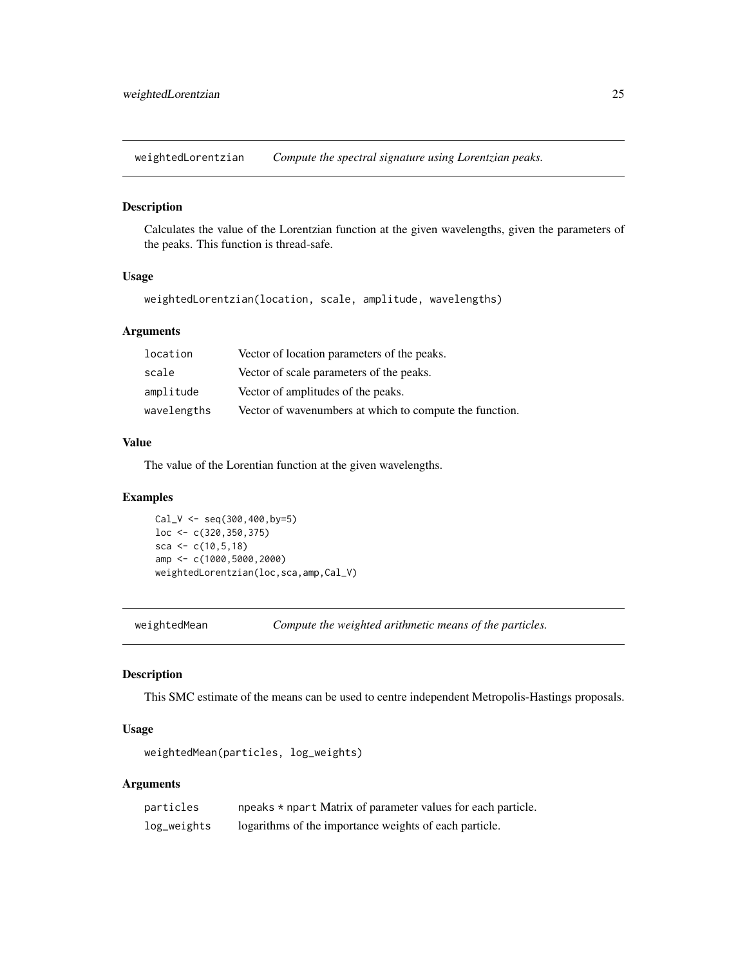<span id="page-24-0"></span>weightedLorentzian *Compute the spectral signature using Lorentzian peaks.*

#### Description

Calculates the value of the Lorentzian function at the given wavelengths, given the parameters of the peaks. This function is thread-safe.

# Usage

weightedLorentzian(location, scale, amplitude, wavelengths)

# Arguments

| location    | Vector of location parameters of the peaks.             |
|-------------|---------------------------------------------------------|
| scale       | Vector of scale parameters of the peaks.                |
| amplitude   | Vector of amplitudes of the peaks.                      |
| wavelengths | Vector of wavenumbers at which to compute the function. |

# Value

The value of the Lorentian function at the given wavelengths.

## Examples

```
Cal_V \leftarrow seq(300, 400, by=5)loc <- c(320,350,375)
sca <- c(10, 5, 18)amp <- c(1000,5000,2000)
weightedLorentzian(loc,sca,amp,Cal_V)
```
weightedMean *Compute the weighted arithmetic means of the particles.*

#### Description

This SMC estimate of the means can be used to centre independent Metropolis-Hastings proposals.

#### Usage

weightedMean(particles, log\_weights)

## Arguments

| particles   | npeaks * npart Matrix of parameter values for each particle. |
|-------------|--------------------------------------------------------------|
| log_weights | logarithms of the importance weights of each particle.       |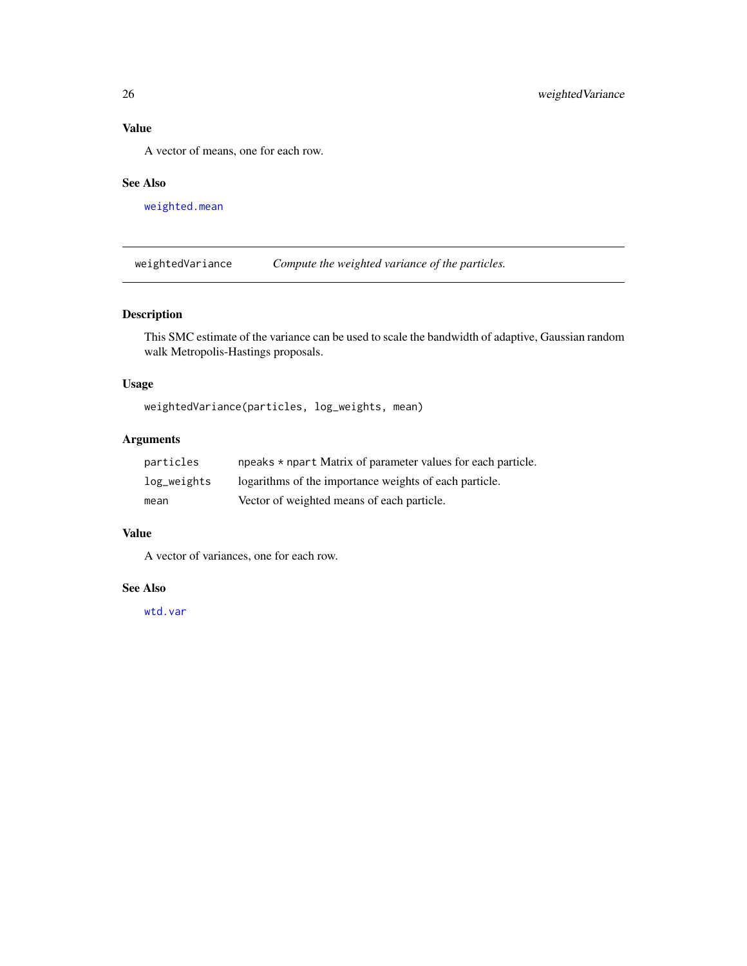# <span id="page-25-0"></span>Value

A vector of means, one for each row.

# See Also

[weighted.mean](#page-0-0)

weightedVariance *Compute the weighted variance of the particles.*

# Description

This SMC estimate of the variance can be used to scale the bandwidth of adaptive, Gaussian random walk Metropolis-Hastings proposals.

# Usage

weightedVariance(particles, log\_weights, mean)

# Arguments

| particles   | npeaks * npart Matrix of parameter values for each particle. |
|-------------|--------------------------------------------------------------|
| log_weights | logarithms of the importance weights of each particle.       |
| mean        | Vector of weighted means of each particle.                   |

# Value

A vector of variances, one for each row.

#### See Also

[wtd.var](#page-0-0)